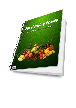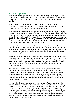# Fat Burning Basics

If you're overweight, you are not a bad person. You're simply overweight. But it's important to lose the extra pounds so you'll look good, feel healthier and develop a sense of pride and self-esteem. Once you've lost the fat, you'll need to maintain your weight.

In this booklet, you'll discover how to lose 10 pounds a month – a nice, safe loss of about two or two-and-a-half pounds a week – painlessly. You'll feel satisfied and more energetic than in the past without feeling deprived.

Most Americans pack on those extra pounds by eating the wrong things. Changing these poor eating habits is the key to long-term success. Knowledge – along with the right food – is the key. When humans lived in caves, they didn't know anything about preserving and storing food. They spent all their waking time and energy hunting and gathering food. When they had it, they gobbled it down fast. Instead of storing food in pantries or cupboards, they stored energy in their bodies in the form of fat to burn during periods when there was little or nothing to eat.

Each year, it was absolutely vital for them to put on a good layer of fat during the warm sprint and summer months. That was the only way they could guarantee their survival during the lean and mean winter months. And since women bore the young, they needed more energy to sustain themselves and their babies, and that meant they were usually heavier.

Even though we no longer live in caves, we have inherited and maintained this basic mechanism for fat storage from our hunting and gathering ancestors. Each one of us is born with a certain number of fat cells. How many of these fat cells you possess depends on genetics. If you have a lot of fat cells, maybe your ancestors were the biggest people in the tribe, which was a good thing because they had the best chances of survival.

You can never get rid of fat cells, but – unfortunately – you can add to them. Depending upon what you eat, your body will manufacture new far cells. And like those you were born with, they never go away. That doesn't mean you're doomed to be fat once you put on extra pounds. It is possible to shrink fat cells. That's what happens when you lose weight. You burn up the fat stored in those big fat cells. Think of them as balloons. Burning off the fat inside them has the save effect as letting the air out of a balloon.

A good weight loss program requires a certain amount of intake restriction – the consumption of fewer calories. You burn off the fat by eating less fat and becoming more active. To guarantee a lifetime of weight-control success, you have to change the type of foods you eat, so that you ingest less fat and still get the vitamins, minerals, trace elements, protein, fat and carbohydrates your body needs to thrive. Extremely low-calorie diets may help you shed pounds quickly, but they'll lead to failure in the long run. That's because humans are genetically protected against starvation. During food shortages, our bodies slow down our metabolisms and burn less energy so we can stay alive.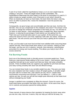A part of our brain called the hypothalamus keeps us on an even weight keep by creating a "set point." That's the weight where we feel comfortable. The hypothalamus determines this point based on the level of consumption it's used to. It seeks to keep our weight constant, even if that point is over what it should be. When we drastically cut back our food intake, the brain thinks the body is starving, and in an effort to preserve life, it slows the metabolism. Soon the pounds stop coming off.

Consequently, we grow hungry and uncomfortable and then eat more. And then the diet fails. How can you compensate for this metabolic slow-down? The answer is that you have to change the nutritional composition of the foods you eat. You will have to cut down on total calories – that's absolutely basic to weight loss. More important, however, is reducing the percentage of total calories you are getting from fat. That's how you'll avoid starvation panic in your system. At the same time, you reduce the amount of fat in your food, replacing it with safe, low calorie, nutrient-rich plant foods. This will convince your brain that your body is getting all the nutrition it needs.

In fact, you'll be able to eat more food and feel more satisfied while consuming fewer calories and fats. Plant foods break down slowly in your stomach, making you feel full longer, and they are rich in vitamins, minerals, trace elements, carbohydrates and protein for energy and muscle-building. This allows your body to burn off its excess stored fat.

# **Fat Burning Foods**

Each one of the following foods is clinically proven to promote weight loss. These foods go a step beyond simply adding no fat to your system – they possess special properties that add zip to your system and help your body melt away unhealthy pounds. These incredible foods can suppress your appetite for junk food and keep your body running smoothly with clean fuel and efficient energy.

You can include these foods in any sensible weight-loss plan. They give your body the extra metabolic kick that it needs to shave off weight quickly. A sensible weight loss plan calls for no fewer that 1,200 calories per day. But Dr. Charles Klein recommends consuming more that that, if you can believe it  $-1,500$  to 1,800 calories per day. He says you will still lose weight quite effectively at that intake level without endangering your health.

Hunger is satisfied more completely by filling the stomach. Ounce for ounce, the foods listed below accomplish that better than any others. At the same time, they're rich in nutrients and possess special fat-melting talents.

# **Apples**

These marvels of nature deserve their reputation for keeping the doctor away when you eat one a day. And now, it seems, they can help you melt the fat away, too.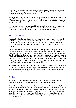First of all, they elevate your blood glucose (sugar) levels in a safe, gentle manner and keep them up longer than most foods. The practical effect of this is to leave you feeling satisfied longer, say researchers.

Secondly, they're one of the richest sources of soluble fiber in the supermarket. This type of fiber prevents hunger pangs by guarding against dangerous swings or drops in your blood sugar level, says Dr. James Anderson of the University of Kentucky's School of Medicine.

An average size apple provides only 81 calories and has no sodium, saturated fat or cholesterol. You'll also get the added health benefits of lowering the level of cholesterol already in your blood as well as lowering your blood pressure.

## **Whole Grain Bread**

You needn't dread bread. It's the butter, margarine or cream cheese you put on it that's fattening, not the bread itself. We'll say this as often as needed – fat is fattening. If you don't believe that, ponder this – a gram of carbohydrate has four calories, a gram of protein four, and a gram of fat nine. So which of these is really fattening?

Bread, a natural source of fiber and complex carbohydrates, is okay for dieting. Norwegian scientist Dr. Bjarne Jacobsen found that people who eat less than two slices of bread daily weigh about 11 pounds more that those who eat a lot of bread. Studies at Michigan State University show some breads actually reduce the appetite. Researchers compared white bread to dark, high-fiber bread and found that students who ate 12 slices a day of the dark, high-fiber bread felt less hunger on a daily basis and lost five pounds in two months. Others who ate white bread were hungrier, ate more fattening foods and lost no weight during this time.

So the key is eating dark, rich, high-fiber breads such as pumpernickel, whole wheat, mixed grain, oatmeal and others. The average slice of whole grain bread contains only 60 to 70 calories, is rich in complex carbohydrates – the best, steadiest fuel you can give your body – and delivers surprising amount of protein.

# **Coffee**

Easy does it is the password here. We've all heard about potential dangers of caffeine – including anxiety and insomnia – so moderation is the key.

The caffeine in coffee can speed up the metabolism. In nutritional circles, it's known as a metabolic enhancer, according to Dr. Judith Stern of the University of California at Davis. This makes sense, since caffeine is a stimulant. Studies show it can help you burn more calories than normal, perhaps up to 10 percent more. For safety's sake, it's best to limit your intake to a single cup in the morning and one in the afternoon. Add only skim milk to tit and try doing without sugar – many people learn to love it that way.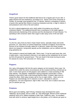# **Grapefruit**

There's good reason for this traditional diet food to be a regular part of your diet. It helps dissolve fat and cholesterol, according to Dr. James Cerd of the University of Florida. An average sized grapefruit has 74 calories, delivers a whopping 15 grams of pectin (the special fiber linked to lowering cholesterol and fat), is high in vitamin C and potassium and is free of fat and sodium.

It's rich in natural galacturonic acid, which adds to its potency as a fat and cholesterol fighter. The additional benefit here is assistance in the battle against atherosclerosis (hardening of the arteries) and the development of heart disease. Try sprinkling it with cinnamon rather than sugar to take away some of the tart taste.

#### **Mustard**

Try the hot, spicy kind you find in Asian import stores, specialty shops and exotic groceries. Dr. Jaya Henry of Oxford Polytechnic Institute in England, found that the amount of hot mustard normally called for in Mexican, Indian and Asian recipes, about one teaspoon, temporarily speeds up the metabolism, just as caffeine and the drug ephedrine do.

"But mustard is natural and totally safe," Henry says. "It can be used every day, and it really works. I was shocked to discover it can speed up the metabolism by as much as 20 to 25 percent for several hours." This can result in the body burning an extra 45 calories for every 700 consumed, Dr. Henry says.

# **Peppers**

Hot, spicy chili peppers fall into the same category as hot mustard, Henry says. He studied them under the same circumstances as the mustard and they worked just as well. A mere three grams of chili peppers were added to a meal consisting of 766 total calories. The peppers' metabolism-raising properties worked like a charm, leading to what Henry calls a diet-induced thermic effect. It doesn't take much to create the effect. Most salsa recipes call for four to eight chilies – that's not a lot. Peppers are astonishingly rich in vitamins A and C, abundant in calcium, phosphorus, iron and magnesium, high in fiber, free of fat, low in sodium and have just 24 calories per cup.

### **Potatoes**

We've got to be kidding, right? Wrong. Potatoes have developed the same "fattening" rap as bread, and it's unfair. Dr. John McDougal, director of the nutritional medicine clinic at St. Helena Hospital in Deer Park, California, says, "An excellent food with which to achieve rapid weight loss is the potato, at 0.6 calories per gram or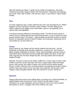about 85 calories per potato." A great source of fiber and potassium, they lower cholesterol and protect against strokes and heart disease. Preparation and toppings are crucial. Steer clear of butter, milk and sour cream, or you'll blow it. Opt for yogurt instead.

## **Rice**

An entire weight-loss plan, simple called the Rice Diet, was developed by Dr. William Kempner at Duke University in Durham, North Carolina. The diet, dating to the 1930's, makes rice the staple of your food intake. Later on, you gradually mix in various fruits and vegetables.

It produces stunning weight loss and medical results. The diet has been shown to reverse and cure kidney ailments and high blood pressure. A cup of cooked rice (150 grams) contains about 178 calories – approximately one-third the number of calories found in an equivalent amount of beef or cheese. And remember, whole grain rice is much better for you than white rice.

#### **Soups**

Soup is good for you! Maybe not the canned varieties from the store – but oldfashioned, homemade soup promotes weight loss. A study by Dr. John Foreyt of Baylor College of Medicine in Houston, Texas, found that dieters who ate a bowl of soup before lunch and dinner lost more weight than dieters who didn't. In fact, the more soup they ate, the more weight they lost. And soup eaters tend to keep the weight off longer.

Naturally, the type of soup you eat makes a difference. Cream soups or those made of beef or pork are not your best bets. But here's a great recipe: Slice three large onions, three carrots, four stalks of celery, one zucchini and one yellow squash. Place in a kettle. Add three cans crushed tomatoes, two packets low-sodium chicken bouillon, three cans water and one cup white wine (optional). Add tarragon, basil, oregano, thyme and garlic powder. Boil, then simmer for an hour. Serves six.

# **Spinach**

Popeye really knew what he was talking about, according to Dr. Richard Shekelle, an epidemiologist at the University of Texas. Spinach has the ability to lower cholesterol, rev up the metabolism and burn away fat. Rich in iron, beta carotene and vitamins C and E, it supplies most of the nutrients you need.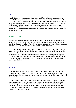## **Tofu**

You just can't say enough about this health food from Asia. Also called soybean curd, it's basically tasteless, so any spice or flavoring you add blends with it nicely. A 2½ " square has 86 calories and nine grams of protein. (Experts suggest an intake of about 40 grams per day.) Tofu contains calcium and iron, almost no sodium and not a bit of saturated fat. It makes your metabolism run on high and even lowers cholesterol. With different varieties available, the firmer tofus are goof for stir-frying or adding to soups and sauces while the softer ones are good for mashing, chopping and adding to salads.

# Potent Foods

It would be unrealistic to think you could successfully lose weight and enjoy what you're eating with a mere handful of foods, no matter how delicious, nutritious and satisfying they may be. So we're going to add an extra roster of fat-fighting foods you can eat along with the great foods mentioned in the last section.

They'll lend different tastes and textures to every meal and provide a wide range of vitamins, minerals, proteins and other vital nutrients. Naturally, each one is high in fiber, low in fat and safe when it comes to sodium content, too. Many have crunchiness and flavor we've come to desire in snack and nibbling foods. If you're like most of us, you may have a real junk food snacking habit – a habit you're going to have to change in order to slim down. Many of the foods in this section may be worthy substitutes.

### **Barley**

This filling grain stacks up favorably to rice and potatoes. It has 170 calories per cooked cup, respectable levels of protein and fiber and relatively low fat. Roman gladiators ate this grain regularly for strength and actually complained when they had to eat meat.

Studies at the University of Wisconsin show that barley effectively lowers cholesterol by up to 15 percent and has powerful anti-cancer agents. Israeli scientists say it cures constipation better than laxatives - and that can promote weight loss, too. Use it as a substitute for rice in salads, pilaf or stuffing, or add to soups and stews. You can also mix it with rice for an interesting texture. Ground into flour, it makes excellent breads and muffins.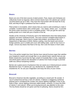#### **Beans**

Beans are one of the best sources of plant protein. Peas, beans and chickpeas are collectively known as legumes. Most common beans have 215 calories per cooked cup (lima beans go up to 260). They have the most protein with the least fat of any food, and they're high in potassium but low in sodium.

Plant protein is incomplete, which means that you need to add something to make it complete. Combine beans with a whole grain – rice, barley, wheat, corn – to provide the amino acids necessary to form a complete protein. Then you get the same topquality protein as in meat with just a fraction of the fat.

Studies at the University of Kentucky and in the Netherlands show that eating beans regularly can lower cholesterol levels. The most common complaint about beans is that they cause gas. Here's how to contain that problem, according to the U.S. Department of Agriculture (USDA): Before cooking, rinse the beans and remove foreign particles, put in a kettle and cover with boiling water, soak for four hours or longer, remove any beans that float to the top, then cook the beans in fresh water.

#### **Berries**

This is the perfect weight-loss food. Berries have natural fructose sugar that satisfies your longing for sweets and enough fiber so you absorb fewer calories that you eat. British researchers found that the high content of insoluble fiber in fruits, vegetables and whole grains reduces the absorption of calories from foods enough to promote width loss without hampering nutrition.

Berries are a great source of potassium that can assist you in blood pressure control. Blackberries have 74 calories per cup, blueberries 81, raspberries 60 and strawberries 45. So use your imagination and enjoy the berry of your choice.

### **Broccoli**

Broccoli is America's favorite vegetable, according to a recent poll. No wonder. A cup of cooked broccoli has a mere 44 calories. It delivers a staggering nutritional payload and is considered the number one cancer-fighting vegetable. It has no fat, loads of fiber, cancer fighting chemicals called indoles, carotene, 21 times the RDA of vitamin C and calcium. When you're buying broccoli, pay attention to the color. The tiny florets should be rich green and free of yellowing. Stems should be firm.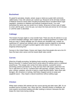### **Buckwheat**

It's great for pancakes, breads, cereal, soups or alone as a grain dish commonly called kasha. It has 155 calories per cooked cup. Research at the All India Institute of Medical Sciences shows diets including buckwheat lead to excellent blood sugar regulation, resistance to diabetes and lowered cholesterol levels. You cook buckwheat the same way you would rice or barley. Bring two to three cups of water to a boil, add the grain, cover the pan, turn down the heat and simmer for 20 minutes or until the water is absorbed.

## **Cabbage**

This Eastern Europe staple is a true wonder food. There are only 33 calories in a cup of cooked shredded cabbage, and it retains all its nutritional goodness no matter how long you cook it. Eating cabbage raw (18 calories per shredded cup), cooked, as sauerkraut (27 calories per drained cup) or coleslaw (calories depend on dressing) only once a week is enough to protect against colon cancer. And it may be a longevity-enhancing food.

Surveys in the United States, Greece and Japan show that people who eat a lot of it have the least colon cancer and the lowest death rates overall.

### **Carrots**

What list of health-promoting, fat-fighting foods would be complete without Bugs Bunny's favorite? A medium-sized carrot carries about 55 calories and is a nutritional powerhouse. The orange color comes from beta carotene, a powerful cancerpreventing nutrient (provitamin A). Chop and toss them with pasta, grate them into rice or add them to a stir-fry. Combine them with parsnips, oranges, raisins, lemon juice, chicken, potatoes, broccoli or lamb to create flavorful dishes. Spice them with tarragon, dill, cinnamon or nutmeg. Add finely chopped carrots to soups and spaghetti sauce – they impart a natural sweetness without adding sugar.

#### **Chicken**

White meat contains 245 calories per four ounce serving and dark meat, 285. It's an excellent source of protein, iron, niacin and zinc. Skinned chicken is healthiest, but most experts recommend waiting until after cooking to remove it because the skin keeps the meat moist during cooking.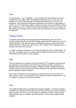## **Corn**

It's really a grain – not a vegetable – and is another food that's gotten a bum rap. People think it has little to offer nutritionally and that just isn't so. There are 178 calories in a cup of cooked kernels. It contains good amounts of iron, zinc and potassium, and University of Nebraska researchers say it delivers a high-quality of protein, too. The Tarahumara Indians of Mexico eat corn, beans and hardly anything else. Virgil Brown, M.D., of Mount Sinai School of Medicine in New York, points out that high blood cholesterol and cardiovascular heart disease are almost nonexistent among them.

## **Cottage Cheese**

As long as we're talking about losing weight and fat-fighting foods, we had to mention cottage cheese. Low-fat (2%) cottage cheese has 205 calories per cup and is admirably low in fat, while providing respectable amounts of calcium and the B vitamin riboflavin. Season with spices such a dill, or garden fresh vegetable such a scallions and chives for extra zip.

To make it sweeter, add raisins or one of the fruit spreads with no sugar added. You can also use cottage cheese in cooking, baking, fillings and dips where you would otherwise use sour cream or cream cheese.

# **Figs**

Fiber-rich figs are low in calories at 37 per medium (2.25" diameter) raw fig and 48 per dried fig. A recent study by the USDA demonstrated that they contribute to a feeling of fullness and prevent overeating. Subjects actually complained of being asked to eat too much food when fed a diet containing more figs than a similar diet with an identical number of calories.

Serve them with other fruits and cheeses. Or poach them in fruit juice and serve them warm or cold. You can stuff them with mild white cheese or puree them to use as a filling for cookies and low-calorie pastries.

### **Fish**

The health benefits of fish are greater than experts imagined – and they've always considered it a health food. The calorie count in the average four-ounce serving of a deep-sea fish runs from a low of 90 calories in abalone to a high of 236 in herring. Water-packed tuna, for example, has 154 calories. It's hard to gain weight eating seafood.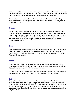As far back as 1985, articles in the New England Journal of Medicine showed a clear link between eating fish regularly and lower rates of heart disease. The reason is that oils in fish thin the blood, reduce blood pressure and lower cholesterol.

Dr. Joel Kremer, at Albany Medical College in New York, discovered that daily supplements of fish oil brought dramatic relief to the inflammation and stiff joints of rheumatoid arthritis.

#### **Greens**

We're talking collard, chicory, beet, kale, mustard, Swiss chard and turnip greens. They all belong to the same family as spinach, and that's one of the super-stars. No matter how hard you try, you can't load a cup of plain cooked greens with any more than 50 calories. They're full of fiber, loaded with vitamins A and C, and free of fat. You can use them in salads, soups, casseroles or any dish where you would normally use spinach.

#### **Kiwi**

This New Zealand native is a sweet treat at only 46 calories per fruit. Chinese public health officials praise the tasty fruit for its high vitamin C content and potassium. It stores easily in the refrigerator for up to a month. Most people like it peeled, but the fuzzy skin is also edible.

### **Leeks**

These members of the onion family look like giant scallions, and are every bit as healthful and flavorful as their better-known cousins. They come as close to caloriefree as it gets at a mere 32 calories per cooked cup.

You can poach or broil halved leeks and then marinate them in vinaigrette or season with Romano cheese, fine mustard or herbs. They also make a good soup.

#### **Lettuce**

People think lettuce is nutritionally worthless, but nothing could be farther from the truth. You can't leave it out of your weight-loss plans, not at 10 calories per cup of raw romaine. It provides a lot of filling bulk for so few calories. And it's full of vitamin C, too. Go beyond iceberg lettuce with Boston, bibb and cos varieties or try watercress, arugula, radicchio, dandelion greens, purslane and even parsley to liven up your salads.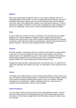## **Melons**

Now, here's great taste and great nutrition in a low-calorie package! One cup of cantaloupe balls has 62 calories, on cup of casaba balls has 44 calories, one cup of honeydew balls has 62 calories and one cup of watermelon balls has 49 calories. They have some of the highest fiber content of any food and are delicious. Throw in handsome quantities of vitamins A and C plus a whopping 547 mgs of potassium in that cup of cantaloupe, and you have a fat-burning health food beyond compare.

### **Oats**

A cup of oatmeal or oat bran has only 110 calories. And oats help you lose weight. Subjects in Dr. James Anderson's landmark 12-year study at the University of Kentucky lost three pounds in two months simply by adding 100 grams (3.5 ounces) of oat bran to their daily food intake and nothing else. Just don't expect oats alone to perform miracles – you have to eat a balanced diet for total health.

## **Onions**

Flavorful, aromatic, inexpensive and low in calories, onions deserve a regular place in your diet. One cup of chopped raw onions has only 60 calories, and one raw medium onion (2.15" diameter) has just 42. They control cholesterol, thin the blood, protect against cholesterol and may have some value in counteracting allergic reactions. Most of all, onions taste good and they're good for you.

Partially boil, peel and bake, basting with olive oil and lemon juice. Or sauté them in white wine and basil, then spread over pizza. Or roast them in sherry and serve over paste.

# **Pasta**

The Italians had it right all along. A cup of cooked paste (without a heavy sauce) has only 155 calories and fits the description of a perfect starch-centered staple. Analysis at the American Institute of Baking shows pasta is rich in six minerals, including manganese, iron, phosphorus, copper, magnesium and zinc. Also be sure to consider whole wheat pastas, which are even healthier.

### **Sweet Potatoes**

You can make a meal out of them and not worry about gaining a pound – and you sure won't walk away from the table feeling hungry. Each sweet potato has about 103 calories. Their creamy orange flesh is one of the best sources of vitamin A you can consume.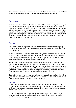You can bake, steam or microwave them. Or add them to casseroles, soups and any other dishes. Flavor with lemon juice or vegetable broth instead of butter.

#### **Tomatoes**

A medium tomato (2.5" diameter) has only about 25 calories. These garden delights are low in fat and sodium, high in potassium and rich in fiber. A survey at Harvard Medical School found that the chances of dying of cancer are lowest among people who eat tomatoes (or strawberries) every week. And don't overlook canned crushed, peeled, whole or stewed tomatoes. They make sauces, casseroles and soups taste great while retaining their nutritional goodness and low-calorie status. Even plain old spaghetti sauce is a fat-burning bargain when served over pasta, so think about introducing tomatoes into your diet

## **Turkey**

Give thanks to those pilgrims for starting the wonderful tradition of Thanksgiving turkey. It just so happens that this health food disguised as meat is good year-round for weight control.

A four-ounce serving of roasted white meat turkey has 177 calories and dark meat has 211. Sadly, many folks are still unaware of the versatility and flavor of ground turkey. Anything hamburger can do, ground turkey can do at least as well, from conventional burgers to spaghetti sauce to meat loaf.

Some ground turkey contains skin which slightly increases the fat content. If you want to keep it really lean, opt for ground breast meat. But since this has no added fat, you'll need to add filler to make burgers or meat loaf hold together. Four ounces of ground turkey has approximately 170 calories and nine grams of fat – about what you'd find in 2.5 teaspoons of butter or margarine. Incredibly, the same amount of regular ground beef (21% fat) has 298 calories and 23 grams of fat.

Buying turkey has become easy. It's no longer necessary to buy a whole bird unless you want to. Ground turkey is available fresh or frozen, as are individual parts of the bird, including drumsticks, thighs, breasts and cutlets.

#### **Yogurt**

The non-fat variety of plain yogurt has 120 calories per cup and low-fat, 144. It delivers a lot of protein and , like any dairy food, is rich in calcium and contains zinc and riboflavin. Yogurt is handy as a breakfast food – cut a banana into it and add the cereal of your choice.

You can find ways to use it in other types of cooking, to – sauces, soups, dips, toppings, stuffings and spreads. Many kitchen gadget departments even sell a simple funnel for making yogurt cheese.